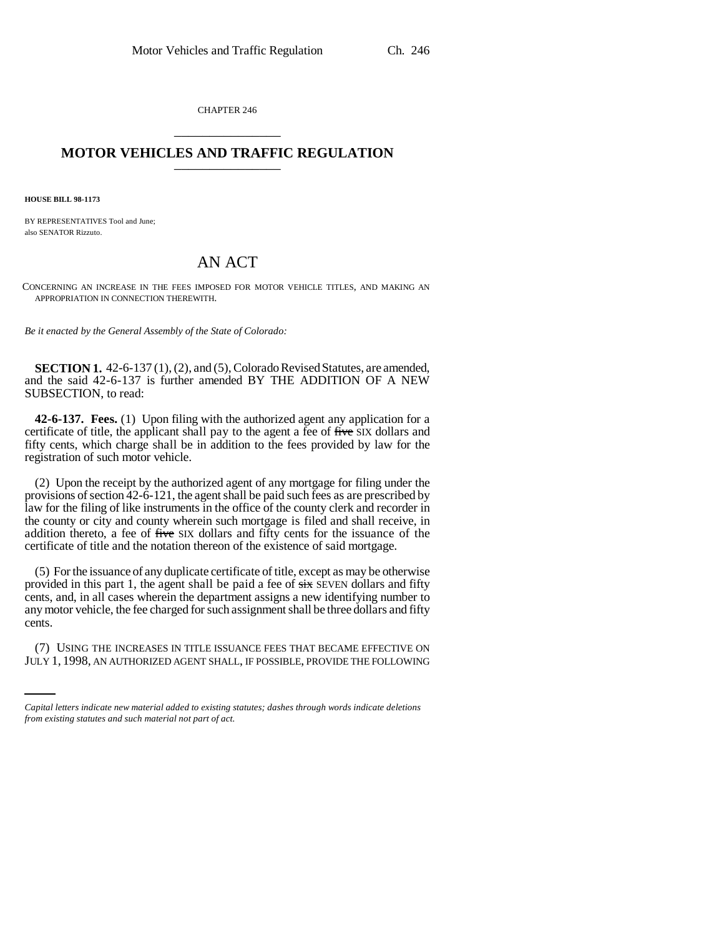CHAPTER 246 \_\_\_\_\_\_\_\_\_\_\_\_\_\_\_

## **MOTOR VEHICLES AND TRAFFIC REGULATION** \_\_\_\_\_\_\_\_\_\_\_\_\_\_\_

**HOUSE BILL 98-1173**

BY REPRESENTATIVES Tool and June; also SENATOR Rizzuto.

## AN ACT

CONCERNING AN INCREASE IN THE FEES IMPOSED FOR MOTOR VEHICLE TITLES, AND MAKING AN APPROPRIATION IN CONNECTION THEREWITH.

*Be it enacted by the General Assembly of the State of Colorado:*

**SECTION 1.** 42-6-137 (1), (2), and (5), Colorado Revised Statutes, are amended, and the said 42-6-137 is further amended BY THE ADDITION OF A NEW SUBSECTION, to read:

**42-6-137. Fees.** (1) Upon filing with the authorized agent any application for a certificate of title, the applicant shall pay to the agent a fee of five SIX dollars and fifty cents, which charge shall be in addition to the fees provided by law for the registration of such motor vehicle.

(2) Upon the receipt by the authorized agent of any mortgage for filing under the provisions of section 42-6-121, the agent shall be paid such fees as are prescribed by law for the filing of like instruments in the office of the county clerk and recorder in the county or city and county wherein such mortgage is filed and shall receive, in addition thereto, a fee of five SIX dollars and fifty cents for the issuance of the certificate of title and the notation thereon of the existence of said mortgage.

(5) For the issuance of any duplicate certificate of title, except as may be otherwise provided in this part 1, the agent shall be paid a fee of  $\frac{1}{x}$  SEVEN dollars and fifty cents, and, in all cases wherein the department assigns a new identifying number to any motor vehicle, the fee charged for such assignment shall be three dollars and fifty cents.

(7) USING THE INCREASES IN TITLE ISSUANCE FEES THAT BECAME EFFECTIVE ON JULY 1, 1998, AN AUTHORIZED AGENT SHALL, IF POSSIBLE, PROVIDE THE FOLLOWING

*Capital letters indicate new material added to existing statutes; dashes through words indicate deletions from existing statutes and such material not part of act.*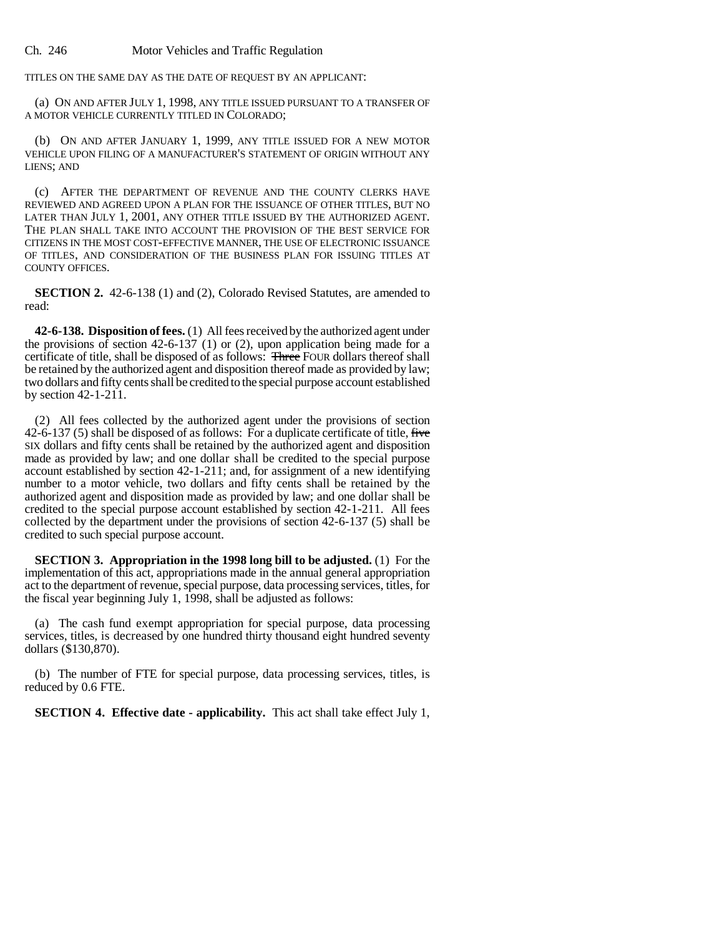Ch. 246 Motor Vehicles and Traffic Regulation

TITLES ON THE SAME DAY AS THE DATE OF REQUEST BY AN APPLICANT:

(a) ON AND AFTER JULY 1, 1998, ANY TITLE ISSUED PURSUANT TO A TRANSFER OF A MOTOR VEHICLE CURRENTLY TITLED IN COLORADO;

(b) ON AND AFTER JANUARY 1, 1999, ANY TITLE ISSUED FOR A NEW MOTOR VEHICLE UPON FILING OF A MANUFACTURER'S STATEMENT OF ORIGIN WITHOUT ANY LIENS; AND

(c) AFTER THE DEPARTMENT OF REVENUE AND THE COUNTY CLERKS HAVE REVIEWED AND AGREED UPON A PLAN FOR THE ISSUANCE OF OTHER TITLES, BUT NO LATER THAN JULY 1, 2001, ANY OTHER TITLE ISSUED BY THE AUTHORIZED AGENT. THE PLAN SHALL TAKE INTO ACCOUNT THE PROVISION OF THE BEST SERVICE FOR CITIZENS IN THE MOST COST-EFFECTIVE MANNER, THE USE OF ELECTRONIC ISSUANCE OF TITLES, AND CONSIDERATION OF THE BUSINESS PLAN FOR ISSUING TITLES AT COUNTY OFFICES.

**SECTION 2.** 42-6-138 (1) and (2), Colorado Revised Statutes, are amended to read:

**42-6-138. Disposition of fees.** (1) All fees received by the authorized agent under the provisions of section 42-6-137 (1) or (2), upon application being made for a certificate of title, shall be disposed of as follows: Three FOUR dollars thereof shall be retained by the authorized agent and disposition thereof made as provided by law; two dollars and fifty cents shall be credited to the special purpose account established by section 42-1-211.

(2) All fees collected by the authorized agent under the provisions of section 42-6-137 (5) shall be disposed of as follows: For a duplicate certificate of title, five SIX dollars and fifty cents shall be retained by the authorized agent and disposition made as provided by law; and one dollar shall be credited to the special purpose account established by section 42-1-211; and, for assignment of a new identifying number to a motor vehicle, two dollars and fifty cents shall be retained by the authorized agent and disposition made as provided by law; and one dollar shall be credited to the special purpose account established by section 42-1-211. All fees collected by the department under the provisions of section 42-6-137 (5) shall be credited to such special purpose account.

**SECTION 3. Appropriation in the 1998 long bill to be adjusted.** (1) For the implementation of this act, appropriations made in the annual general appropriation act to the department of revenue, special purpose, data processing services, titles, for the fiscal year beginning July 1, 1998, shall be adjusted as follows:

(a) The cash fund exempt appropriation for special purpose, data processing services, titles, is decreased by one hundred thirty thousand eight hundred seventy dollars (\$130,870).

(b) The number of FTE for special purpose, data processing services, titles, is reduced by 0.6 FTE.

**SECTION 4. Effective date - applicability.** This act shall take effect July 1,